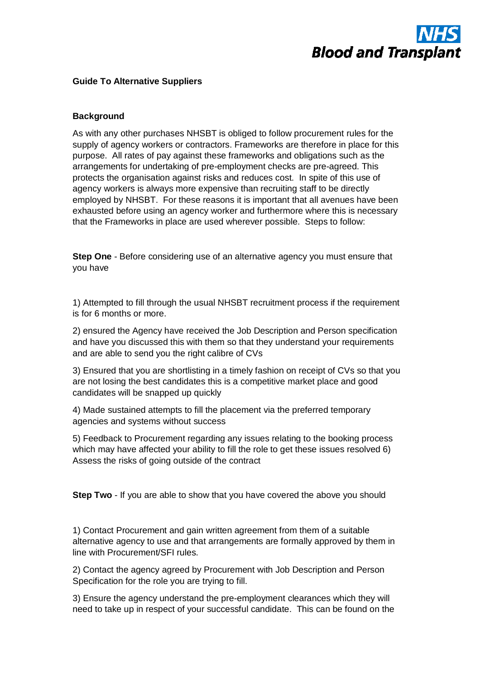

## **Guide To Alternative Suppliers**

## **Background**

As with any other purchases NHSBT is obliged to follow procurement rules for the supply of agency workers or contractors. Frameworks are therefore in place for this purpose. All rates of pay against these frameworks and obligations such as the arrangements for undertaking of pre-employment checks are pre-agreed. This protects the organisation against risks and reduces cost. In spite of this use of agency workers is always more expensive than recruiting staff to be directly employed by NHSBT. For these reasons it is important that all avenues have been exhausted before using an agency worker and furthermore where this is necessary that the Frameworks in place are used wherever possible. Steps to follow:

**Step One** - Before considering use of an alternative agency you must ensure that you have

1) Attempted to fill through the usual NHSBT recruitment process if the requirement is for 6 months or more.

2) ensured the Agency have received the Job Description and Person specification and have you discussed this with them so that they understand your requirements and are able to send you the right calibre of CVs

3) Ensured that you are shortlisting in a timely fashion on receipt of CVs so that you are not losing the best candidates this is a competitive market place and good candidates will be snapped up quickly

4) Made sustained attempts to fill the placement via the preferred temporary agencies and systems without success

5) Feedback to Procurement regarding any issues relating to the booking process which may have affected your ability to fill the role to get these issues resolved 6) Assess the risks of going outside of the contract

**Step Two** - If you are able to show that you have covered the above you should

1) Contact Procurement and gain written agreement from them of a suitable alternative agency to use and that arrangements are formally approved by them in line with Procurement/SFI rules.

2) Contact the agency agreed by Procurement with Job Description and Person Specification for the role you are trying to fill.

3) Ensure the agency understand the pre-employment clearances which they will need to take up in respect of your successful candidate. This can be found on the